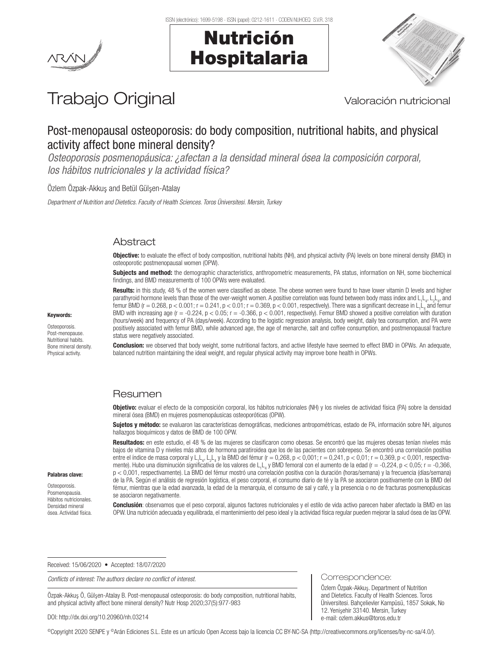





# Trabajo Original Valoración nutricional

# Post-menopausal osteoporosis: do body composition, nutritional habits, and physical activity affect bone mineral density?

*Osteoporosis posmenopáusica: ¿afectan a la densidad mineral ósea la composición corporal, los hábitos nutricionales y la actividad física?*

Özlem Özpak-Akkuş and Betül Gülşen-Atalay

*Department of Nutrition and Dietetics. Faculty of Health Sciences. Toros Üniversitesi. Mersin, Turkey*

# Abstract

Objective: to evaluate the effect of body composition, nutritional habits (NH), and physical activity (PA) levels on bone mineral density (BMD) in osteoporotic postmenopausal women (OPW).

Subjects and method: the demographic characteristics, anthropometric measurements, PA status, information on NH, some biochemical findings, and BMD measurements of 100 OPWs were evaluated.

Results: in this study, 48 % of the women were classified as obese. The obese women were found to have lower vitamin D levels and higher parathyroid hormone levels than those of the over-weight women. A positive correlation was found between body mass index and L<sub>1</sub>L<sub>4</sub>, L<sub>2</sub>L<sub>4</sub>, and femur BMD (r = 0.268, p < 0.001; r = 0.241, p < 0.01; r = 0.369, p < 0.001, respectively). There was a significant decrease in L<sub>1</sub>L<sub>4</sub> and femur BMD with increasing age  $(r = -0.224, p < 0.05; r = -0.366, p < 0.001$ , respectively). Femur BMD showed a positive correlation with duration (hours/week) and frequency of PA (days/week). According to the logistic regression analysis, body weight, daily tea consumption, and PA were positively associated with femur BMD, while advanced age, the age of menarche, salt and coffee consumption, and postmenopausal fracture status were negatively associated.

**Conclusion:** we observed that body weight, some nutritional factors, and active lifestyle have seemed to effect BMD in OPWs. An adequate, balanced nutrition maintaining the ideal weight, and regular physical activity may improve bone health in OPWs.

# Resumen

Objetivo: evaluar el efecto de la composición corporal, los hábitos nutricionales (NH) y los niveles de actividad física (PA) sobre la densidad mineral ósea (BMD) en mujeres posmenopáusicas osteoporóticas (OPW).

Sujetos y método: se evaluaron las características demográficas, mediciones antropométricas, estado de PA, información sobre NH, algunos hallazgos bioquímicos y datos de BMD de 100 OPW.

Resultados: en este estudio, el 48 % de las mujeres se clasificaron como obesas. Se encontró que las mujeres obesas tenían niveles más bajos de vitamina D y niveles más altos de hormona paratiroidea que los de las pacientes con sobrepeso. Se encontró una correlación positiva entre el índice de masa corporal y L<sub>1</sub>L<sub>4</sub>, L<sub>2</sub>L<sub>4</sub> y la BMD del fémur (r = 0,268, p < 0,001; r = 0,241, p < 0,01; r = 0,369, p < 0,001, respectivamente). Hubo una disminución significativa de los valores de L<sub>14</sub> y BMD femoral con el aumento de la edad (r = -0,224, p < 0,05; r = -0,366, p < 0,001, respectivamente). La BMD del fémur mostró una correlación positiva con la duración (horas/semana) y la frecuencia (días/semana) de la PA. Según el análisis de regresión logística, el peso corporal, el consumo diario de té y la PA se asociaron positivamente con la BMD del fémur, mientras que la edad avanzada, la edad de la menarquia, el consumo de sal y café, y la presencia o no de fracturas posmenopáusicas se asociaron negativamente.

Conclusión: observamos que el peso corporal, algunos factores nutricionales y el estilo de vida activo parecen haber afectado la BMD en las OPW. Una nutrición adecuada y equilibrada, el mantenimiento del peso ideal y la actividad física regular pueden mejorar la salud ósea de las OPW.

Received: 15/06/2020 • Accepted: 18/07/2020

*Conflicts of interest: The authors declare no conflict of interest.*

Özpak-Akkuş Ö, Gülşen-Atalay B. Post-menopausal osteoporosis: do body composition, nutritional habits, and physical activity affect bone mineral density? Nutr Hosp 2020;37(5):977-983

DOI: http://dx.doi.org/10.20960/nh.03214

©Copyright 2020 SENPE y ©Arán Ediciones S.L. Este es un artículo Open Access bajo la licencia CC BY-NC-SA (http://creativecommons.org/licenses/by-nc-sa/4.0/).

# Keywords:

**Osteoporosis** Post-menopause. Nutritional habits. Bone mineral density. Physical activity.

Palabras clave: Osteoporosis. Posmenopausia. Hábitos nutricionales. Densidad mineral ósea. Actividad física.

> Özlem Özpak-Akkus. Department of Nutrition and Dietetics. Faculty of Health Sciences. Toros Üniversitesi. Bahçelievler Kampüsü, 1857 Sokak, No 12. Yenişehir 33140. Mersin, Turkey e-mail: ozlem.akkus@toros.edu.tr

Correspondence: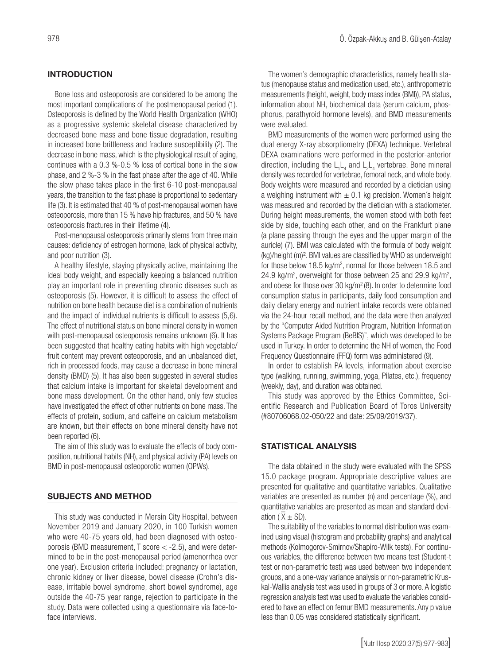# **INTRODUCTION**

Bone loss and osteoporosis are considered to be among the most important complications of the postmenopausal period (1). Osteoporosis is defined by the World Health Organization (WHO) as a progressive systemic skeletal disease characterized by decreased bone mass and bone tissue degradation, resulting in increased bone brittleness and fracture susceptibility (2). The decrease in bone mass, which is the physiological result of aging, continues with a 0.3 %-0.5 % loss of cortical bone in the slow phase, and 2 %-3 % in the fast phase after the age of 40. While the slow phase takes place in the first 6-10 post-menopausal years, the transition to the fast phase is proportional to sedentary life (3). It is estimated that 40 % of post-menopausal women have osteoporosis, more than 15 % have hip fractures, and 50 % have osteoporosis fractures in their lifetime (4).

Post-menopausal osteoporosis primarily stems from three main causes: deficiency of estrogen hormone, lack of physical activity, and poor nutrition (3).

A healthy lifestyle, staying physically active, maintaining the ideal body weight, and especially keeping a balanced nutrition play an important role in preventing chronic diseases such as osteoporosis (5). However, it is difficult to assess the effect of nutrition on bone health because diet is a combination of nutrients and the impact of individual nutrients is difficult to assess (5,6). The effect of nutritional status on bone mineral density in women with post-menopausal osteoporosis remains unknown (6). It has been suggested that healthy eating habits with high vegetable/ fruit content may prevent osteoporosis, and an unbalanced diet, rich in processed foods, may cause a decrease in bone mineral density (BMD) (5). It has also been suggested in several studies that calcium intake is important for skeletal development and bone mass development. On the other hand, only few studies have investigated the effect of other nutrients on bone mass. The effects of protein, sodium, and caffeine on calcium metabolism are known, but their effects on bone mineral density have not been reported (6).

The aim of this study was to evaluate the effects of body composition, nutritional habits (NH), and physical activity (PA) levels on BMD in post-menopausal osteoporotic women (OPWs).

### SUBJECTS AND METHOD

This study was conducted in Mersin City Hospital, between November 2019 and January 2020, in 100 Turkish women who were 40-75 years old, had been diagnosed with osteoporosis (BMD measurement, T score < -2.5), and were determined to be in the post-menopausal period (amenorrhea over one year). Exclusion criteria included: pregnancy or lactation, chronic kidney or liver disease, bowel disease (Crohn's disease, irritable bowel syndrome, short bowel syndrome), age outside the 40-75 year range, rejection to participate in the study. Data were collected using a questionnaire via face-toface interviews.

The women's demographic characteristics, namely health status (menopause status and medication used, etc.), anthropometric measurements (height, weight, body mass index (BMI)), PA status, information about NH, biochemical data (serum calcium, phosphorus, parathyroid hormone levels), and BMD measurements were evaluated.

BMD measurements of the women were performed using the dual energy X-ray absorptiometry (DEXA) technique. Vertebral DEXA examinations were performed in the posterior-anterior direction, including the  $L_1L_4$  and  $L_2L_4$  vertebrae. Bone mineral density was recorded for vertebrae, femoral neck, and whole body. Body weights were measured and recorded by a dietician using a weighing instrument with  $\pm$  0.1 kg precision. Women's height was measured and recorded by the dietician with a stadiometer. During height measurements, the women stood with both feet side by side, touching each other, and on the Frankfurt plane (a plane passing through the eyes and the upper margin of the auricle) (7). BMI was calculated with the formula of body weight (kg)/height (m)². BMI values are classified by WHO as underweight for those below 18.5 kg/m<sup>2</sup>, normal for those between 18.5 and 24.9 kg/m<sup>2</sup>, overweight for those between 25 and 29.9 kg/m<sup>2</sup>, and obese for those over 30 kg/ $m^2$  (8). In order to determine food consumption status in participants, daily food consumption and daily dietary energy and nutrient intake records were obtained via the 24-hour recall method, and the data were then analyzed by the "Computer Aided Nutrition Program, Nutrition Information Systems Package Program (BeBIS)", which was developed to be used in Turkey. In order to determine the NH of women, the Food Frequency Questionnaire (FFQ) form was administered (9).

In order to establish PA levels, information about exercise type (walking, running, swimming, yoga, Pilates, etc.), frequency (weekly, day), and duration was obtained.

This study was approved by the Ethics Committee, Scientific Research and Publication Board of Toros University (#80706068.02-050/22 and date: 25/09/2019/37).

### STATISTICAL ANALYSIS

The data obtained in the study were evaluated with the SPSS 15.0 package program. Appropriate descriptive values are presented for qualitative and quantitative variables. Qualitative variables are presented as number (n) and percentage (%), and quantitative variables are presented as mean and standard devi- $\frac{1}{x}$  ation ( $\overline{X} \pm SD$ ).

The suitability of the variables to normal distribution was examined using visual (histogram and probability graphs) and analytical methods (Kolmogorov-Smirnov/Shapiro-Wilk tests). For continuous variables, the difference between two means test (Student-t test or non-parametric test) was used between two independent groups, and a one-way variance analysis or non-parametric Kruskal-Wallis analysis test was used in groups of 3 or more. A logistic regression analysis test was used to evaluate the variables considered to have an effect on femur BMD measurements. Any p value less than 0.05 was considered statistically significant.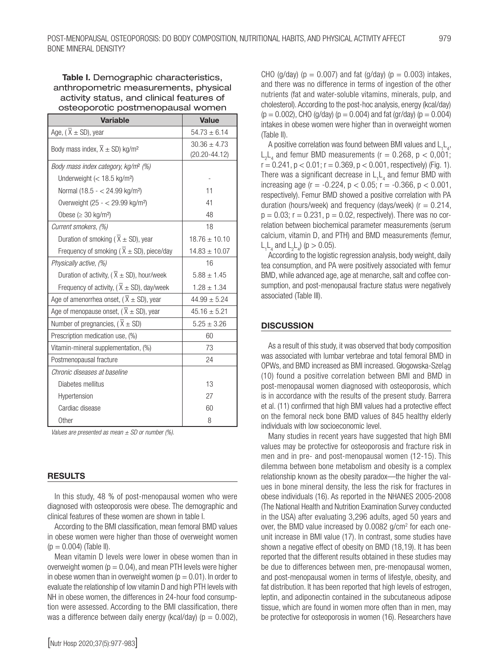# Table I. Demographic characteristics. anthropometric measurements, physical activity status, and clinical features of osteoporotic postmenopausal women

| <b>Variable</b>                                            | <b>Value</b>                          |  |
|------------------------------------------------------------|---------------------------------------|--|
| Age, $(\overline{X} \pm SD)$ , year                        | $54.73 \pm 6.14$                      |  |
| Body mass index, $\overline{X} \pm SD$ ) kg/m <sup>2</sup> | $30.36 \pm 4.73$<br>$(20.20 - 44.12)$ |  |
| Body mass index category, kg/m <sup>2</sup> (%)            |                                       |  |
| Underweight $(< 18.5$ kg/m <sup>2</sup> )                  |                                       |  |
| Normal (18.5 - < 24.99 kg/m <sup>2</sup> )                 | 11                                    |  |
| Overweight (25 - < 29.99 kg/m <sup>2</sup> )               | 41                                    |  |
| Obese ( $\geq$ 30 kg/m <sup>2</sup> )                      | 48                                    |  |
| Current smokers, (%)                                       | 18                                    |  |
| Duration of smoking ( $\overline{X} \pm SD$ ), year        | $18.76 \pm 10.10$                     |  |
| Frequency of smoking ( $\overline{X} \pm SD$ ), piece/day  | $14.83 \pm 10.07$                     |  |
| Physically active, (%)                                     | 16                                    |  |
| Duration of activity, ( $\overline{X}$ ± SD), hour/week    | $5.88 \pm 1.45$                       |  |
| Frequency of activity, ( $\overline{X} \pm SD$ ), day/week | $1.28 \pm 1.34$                       |  |
| Age of amenorrhea onset, ( $\overline{X} \pm SD$ ), year   | $44.99 \pm 5.24$                      |  |
| Age of menopause onset, ( $\overline{X} \pm SD$ ), year    | $45.16 \pm 5.21$                      |  |
| Number of pregnancies, ( $\overline{X} \pm SD$ )           | $5.25 \pm 3.26$                       |  |
| Prescription medication use, (%)                           | 60                                    |  |
| Vitamin-mineral supplementation, (%)                       | 73                                    |  |
| Postmenopausal fracture                                    | 24                                    |  |
| Chronic diseases at baseline                               |                                       |  |
| Diabetes mellitus                                          | 13                                    |  |
| Hypertension                                               | 27                                    |  |
| Cardiac disease                                            | 60                                    |  |
| Other                                                      | 8                                     |  |

*Values are presented as mean ± SD or number (%).* 

### RESULTS

In this study, 48 % of post-menopausal women who were diagnosed with osteoporosis were obese. The demographic and clinical features of these women are shown in table I.

According to the BMI classification, mean femoral BMD values in obese women were higher than those of overweight women  $(p = 0.004)$  (Table II).

Mean vitamin D levels were lower in obese women than in overweight women ( $p = 0.04$ ), and mean PTH levels were higher in obese women than in overweight women ( $p = 0.01$ ). In order to evaluate the relationship of low vitamin D and high PTH levels with NH in obese women, the differences in 24-hour food consumption were assessed. According to the BMI classification, there was a difference between daily energy (kcal/day) ( $p = 0.002$ ), CHO (g/day) ( $p = 0.007$ ) and fat (g/day) ( $p = 0.003$ ) intakes, and there was no difference in terms of ingestion of the other nutrients (fat and water-soluble vitamins, minerals, pulp, and cholesterol). According to the post-hoc analysis, energy (kcal/day)  $(p = 0.002)$ , CHO (g/day) ( $p = 0.004$ ) and fat (gr/day) ( $p = 0.004$ ) intakes in obese women were higher than in overweight women (Table II).

A positive correlation was found between BMI values and  $L_1L_4$ ,  $L_2L_4$  and femur BMD measurements (r = 0.268, p < 0,001;  $r = 0.241$ ,  $p < 0.01$ ;  $r = 0.369$ ,  $p < 0.001$ , respectively) (Fig. 1). There was a significant decrease in  $L_1L_4$  and femur BMD with increasing age  $(r = -0.224, p < 0.05; r = -0.366, p < 0.001,$ respectively). Femur BMD showed a positive correlation with PA duration (hours/week) and frequency (days/week) ( $r = 0.214$ ,  $p = 0.03$ ;  $r = 0.231$ ,  $p = 0.02$ , respectively). There was no correlation between biochemical parameter measurements (serum calcium, vitamin D, and PTH) and BMD measurements (femur,  $L_1L_4$  and  $L_2L_4$ ) (p > 0.05).

According to the logistic regression analysis, body weight, daily tea consumption, and PA were positively associated with femur BMD, while advanced age, age at menarche, salt and coffee consumption, and post-menopausal fracture status were negatively associated (Table III).

#### **DISCUSSION**

As a result of this study, it was observed that body composition was associated with lumbar vertebrae and total femoral BMD in OPWs, and BMD increased as BMI increased. Głogowska-Szeląg (10) found a positive correlation between BMI and BMD in post-menopausal women diagnosed with osteoporosis, which is in accordance with the results of the present study. Barrera et al. (11) confirmed that high BMI values had a protective effect on the femoral neck bone BMD values of 845 healthy elderly individuals with low socioeconomic level.

Many studies in recent years have suggested that high BMI values may be protective for osteoporosis and fracture risk in men and in pre- and post-menopausal women (12-15). This dilemma between bone metabolism and obesity is a complex relationship known as the obesity paradox—the higher the values in bone mineral density, the less the risk for fractures in obese individuals (16). As reported in the NHANES 2005-2008 (The National Health and Nutrition Examination Survey conducted in the USA) after evaluating 3,296 adults, aged 50 years and over, the BMD value increased by 0.0082 g/cm<sup>2</sup> for each oneunit increase in BMI value (17). In contrast, some studies have shown a negative effect of obesity on BMD (18,19). It has been reported that the different results obtained in these studies may be due to differences between men, pre-menopausal women, and post-menopausal women in terms of lifestyle, obesity, and fat distribution. It has been reported that high levels of estrogen, leptin, and adiponectin contained in the subcutaneous adipose tissue, which are found in women more often than in men, may be protective for osteoporosis in women (16). Researchers have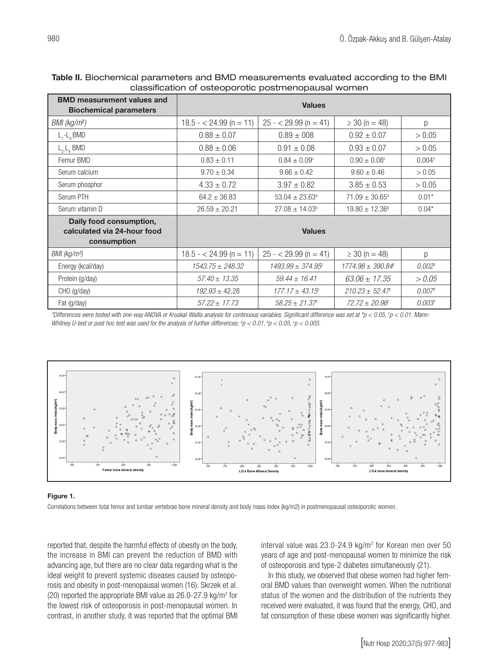| <b>BMD measurement values and</b><br><b>Biochemical parameters</b>    | <b>Values</b>           |                                   |                                   |                    |  |
|-----------------------------------------------------------------------|-------------------------|-----------------------------------|-----------------------------------|--------------------|--|
| BMI (kg/m²)                                                           | $18.5 - 24.99$ (n = 11) | $25 - 29.99$ (n = 41)             | $\geq 30$ (n = 48)                | p                  |  |
| $L_1 - L_4$ BMD                                                       | $0.88 \pm 0.07$         | $0.89 \pm 008$                    | $0.92 \pm 0.07$                   | > 0.05             |  |
| $L_{2}$ , BMD                                                         | $0.88 \pm 0.06$         | $0.91 \pm 0.08$                   | $0.93 \pm 0.07$                   | > 0.05             |  |
| Femur BMD                                                             | $0.83 \pm 0.11$         | $0.84 \pm 0.09^{\circ}$           | $0.90 \pm 0.08^{\circ}$           | 0.004 <sup>†</sup> |  |
| Serum calcium                                                         | $9.70 \pm 0.34$         | $9.66 \pm 0.42$                   | $9.60 \pm 0.46$                   | > 0.05             |  |
| Serum phosphor                                                        | $4.33 \pm 0.72$         | $3.97 \pm 0.82$                   | $3.85 \pm 0.53$                   | > 0.05             |  |
| Serum PTH                                                             | $64.2 \pm 36.83$        | $53.04 \pm 23.63^{\circ}$         | $71.09 \pm 30.65^{\circ}$         | $0.01*$            |  |
| Serum vitamin D                                                       | $26.59 \pm 20.21$       | $27.08 \pm 14.03^{\circ}$         | $19.80 \pm 12.36^{\circ}$         | $0.04*$            |  |
| Daily food consumption,<br>calculated via 24-hour food<br>consumption | <b>Values</b>           |                                   |                                   |                    |  |
| BMI (kg/m <sup>2</sup> )                                              | $18.5 - 24.99$ (n = 11) | $25 - 29.99$ (n = 41)             | $\geq 30$ (n = 48)                | p                  |  |
| Energy (kcal/day)                                                     | $1543.75 \pm 248.32$    | $1493.99 \pm 374.95$ <sup>c</sup> | $1774.98 \pm 390.84$ <sup>c</sup> | 0.002 <sup>†</sup> |  |
| Protein (g/day)                                                       | $57.40 \pm 13.35$       | $59.44 \pm 16.41$                 | $63.06 \pm 17.35$                 | > 0.05             |  |
| CHO (g/day)                                                           | $192.93 \pm 42.28$      | $177.17 \pm 43.15$ <sup>c</sup>   | $210.23 \pm 52.47$ <sup>c</sup>   | 0.007 <sup>†</sup> |  |
| Fat (g/day)                                                           | $57.22 \pm 17.73$       | $58.25 + 21.37$ <sup>c</sup>      | $72.72 + 20.96^{\circ}$           | 0.003 <sup>†</sup> |  |

## Table II. Biochemical parameters and BMD measurements evaluated according to the BMI classification of osteoporotic postmenopausal women

*\*Differences were tested with one-way ANOVA or Kruskal-Wallis analysis for continuous variables. Significant difference was set at \*p < 0.05, † p < 0.01. Mann-*Whitney U-test or post hoc test was used for the analysis of further differences;  $^{\circ}p < 0.01$ ,  $^{\circ}p < 0.05$ ,  $^{\circ}p < 0.005$ .



#### Figure 1.

Correlations between total femur and lumbar vertebrae bone mineral density and body mass index (kg/m2) in postmenopausal osteoporotic women.

reported that, despite the harmful effects of obesity on the body, the increase in BMI can prevent the reduction of BMD with advancing age, but there are no clear data regarding what is the ideal weight to prevent systemic diseases caused by osteoporosis and obesity in post-menopausal women (16). Skrzek et al. (20) reported the appropriate BMI value as  $26.0 - 27.9$  kg/m<sup>2</sup> for the lowest risk of osteoporosis in post-menopausal women. In contrast, in another study, it was reported that the optimal BMI

interval value was  $23.0 - 24.9$  kg/m<sup>2</sup> for Korean men over 50 years of age and post-menopausal women to minimize the risk of osteoporosis and type-2 diabetes simultaneously (21).

In this study, we observed that obese women had higher femoral BMD values than overweight women. When the nutritional status of the women and the distribution of the nutrients they received were evaluated, it was found that the energy, CHO, and fat consumption of these obese women was significantly higher.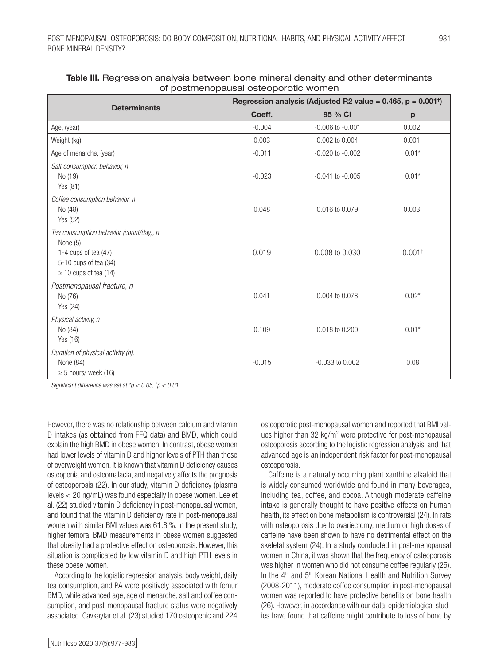|                                                                                                                                      | Regression analysis (Adjusted R2 value = 0.465, $p = 0.001$ <sup>†</sup> ) |                      |                      |  |
|--------------------------------------------------------------------------------------------------------------------------------------|----------------------------------------------------------------------------|----------------------|----------------------|--|
| <b>Determinants</b>                                                                                                                  | Coeff.                                                                     | 95 % CI              | p                    |  |
| Age, (year)                                                                                                                          | $-0.004$                                                                   | $-0.006$ to $-0.001$ | 0.002 <sup>†</sup>   |  |
| Weight (kg)                                                                                                                          | 0.003                                                                      | 0.002 to 0.004       | $0.001$ <sup>+</sup> |  |
| Age of menarche, (year)                                                                                                              | $-0.011$                                                                   | $-0.020$ to $-0.002$ | $0.01*$              |  |
| Salt consumption behavior, n<br>No (19)<br>Yes (81)                                                                                  | $-0.023$                                                                   | $-0.041$ to $-0.005$ | $0.01*$              |  |
| Coffee consumption behavior, n<br>No (48)<br>Yes (52)                                                                                | 0.048                                                                      | 0.016 to 0.079       | 0.003 <sup>†</sup>   |  |
| Tea consumption behavior (count/day), n<br>None (5)<br>1-4 cups of tea $(47)$<br>5-10 cups of tea (34)<br>$\geq$ 10 cups of tea (14) | 0.019                                                                      | 0.008 to 0.030       | $0.001^{+}$          |  |
| Postmenopausal fracture, n<br>No (76)<br>Yes (24)                                                                                    | 0.041                                                                      | 0.004 to 0.078       | $0.02*$              |  |
| Physical activity, n<br>No (84)<br>Yes (16)                                                                                          | 0.109                                                                      | 0.018 to 0.200       | $0.01*$              |  |
| Duration of physical activity (n),<br>None (84)<br>$\geq$ 5 hours/ week (16)                                                         | $-0.015$                                                                   | $-0.033$ to $0.002$  | 0.08                 |  |

| Table III. Regression analysis between bone mineral density and other determinants |
|------------------------------------------------------------------------------------|
| of postmenopausal osteoporotic women                                               |

*Significant difference was set at \*p < 0.05, † p < 0.01.*

However, there was no relationship between calcium and vitamin D intakes (as obtained from FFQ data) and BMD, which could explain the high BMD in obese women. In contrast, obese women had lower levels of vitamin D and higher levels of PTH than those of overweight women. It is known that vitamin D deficiency causes osteopenia and osteomalacia, and negatively affects the prognosis of osteoporosis (22). In our study, vitamin D deficiency (plasma levels < 20 ng/mL) was found especially in obese women. Lee et al. (22) studied vitamin D deficiency in post-menopausal women, and found that the vitamin D deficiency rate in post-menopausal women with similar BMI values was 61.8 %. In the present study, higher femoral BMD measurements in obese women suggested that obesity had a protective effect on osteoporosis. However, this situation is complicated by low vitamin D and high PTH levels in these obese women.

According to the logistic regression analysis, body weight, daily tea consumption, and PA were positively associated with femur BMD, while advanced age, age of menarche, salt and coffee consumption, and post-menopausal fracture status were negatively associated. Cavkaytar et al. (23) studied 170 osteopenic and 224 osteoporotic post-menopausal women and reported that BMI values higher than 32 kg/m<sup>2</sup> were protective for post-menopausal osteoporosis according to the logistic regression analysis, and that advanced age is an independent risk factor for post-menopausal osteoporosis.

Caffeine is a naturally occurring plant xanthine alkaloid that is widely consumed worldwide and found in many beverages, including tea, coffee, and cocoa. Although moderate caffeine intake is generally thought to have positive effects on human health, its effect on bone metabolism is controversial (24). In rats with osteoporosis due to ovariectomy, medium or high doses of caffeine have been shown to have no detrimental effect on the skeletal system (24). In a study conducted in post-menopausal women in China, it was shown that the frequency of osteoporosis was higher in women who did not consume coffee regularly (25). In the 4<sup>th</sup> and 5<sup>th</sup> Korean National Health and Nutrition Survey (2008-2011), moderate coffee consumption in post-menopausal women was reported to have protective benefits on bone health (26). However, in accordance with our data, epidemiological studies have found that caffeine might contribute to loss of bone by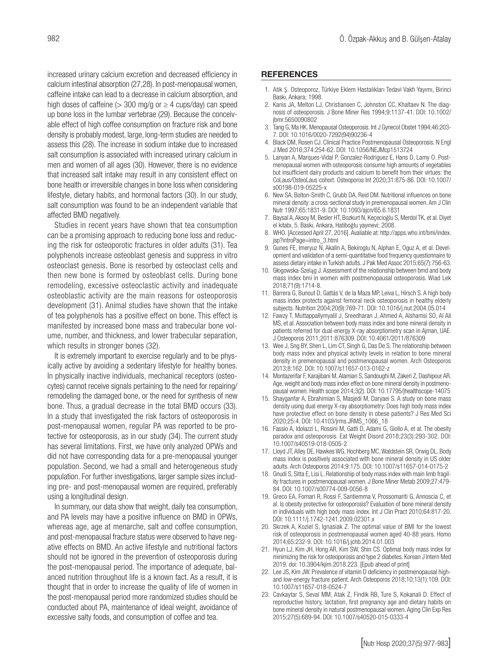increased urinary calcium excretion and decreased efficiency in calcium intestinal absorption (27,28). In post-menopausal women, caffeine intake can lead to a decrease in calcium absorption, and high doses of caffeine ( $>$  300 mg/g or  $\geq$  4 cups/day) can speed up bone loss in the lumbar vertebrae (29). Because the conceivable effect of high coffee consumption on fracture risk and bone density is probably modest, large, long-term studies are needed to assess this (28). The increase in sodium intake due to increased salt consumption is associated with increased urinary calcium in men and women of all ages (30). However, there is no evidence that increased salt intake may result in any consistent effect on bone health or irreversible changes in bone loss when considering lifestyle, dietary habits, and hormonal factors (30). In our study, salt consumption was found to be an independent variable that affected BMD negatively.

Studies in recent years have shown that tea consumption can be a promising approach to reducing bone loss and reducing the risk for osteoporotic fractures in older adults (31). Tea polyphenols increase osteoblast genesis and suppress in vitro osteoclast genesis. Bone is resorbed by osteoclast cells and then new bone is formed by osteoblast cells. During bone remodeling, excessive osteoclastic activity and inadequate osteoblastic activity are the main reasons for osteoporosis development (31). Animal studies have shown that the intake of tea polyphenols has a positive effect on bone. This effect is manifested by increased bone mass and trabecular bone volume, number, and thickness, and lower trabecular separation, which results in stronger bones (32).

It is extremely important to exercise regularly and to be physically active by avoiding a sedentary lifestyle for healthy bones. In physically inactive individuals, mechanical receptors (osteocytes) cannot receive signals pertaining to the need for repairing/ remodeling the damaged bone, or the need for synthesis of new bone. Thus, a gradual decrease in the total BMD occurs (33). In a study that investigated the risk factors of osteoporosis in post-menopausal women, regular PA was reported to be protective for osteoporosis, as in our study (34). The current study has several limitations. First, we have only analyzed OPWs and did not have corresponding data for a pre-menopausal younger population. Second, we had a small and heterogeneous study population. For further investigations, larger sample sizes including pre- and post-menopausal women are required, preferably using a longitudinal design.

In summary, our data show that weight, daily tea consumption, and PA levels may have a positive influence on BMD in OPWs, whereas age, age at menarche, salt and coffee consumption, and post-menopausal fracture status were observed to have negative effects on BMD. An active lifestyle and nutritional factors should not be ignored in the prevention of osteoporosis during the post-menopausal period. The importance of adequate, balanced nutrition throughout life is a known fact. As a result, it is thought that in order to increase the quality of life of women in the post-menopausal period more randomized studies should be conducted about PA, maintenance of ideal weight, avoidance of excessive salty foods, and consumption of coffee and tea.

### **REFERENCES**

- 1. Atik Ş. Osteoporoz, Türkiye Eklem Hastalıkları Tedavi Vakfı Yayımı, Birinci Baskı, Ankara; 1998.
- 2. Kanis JA, Melton LJ, Christiansen C, Johnston CC, Khaltaev N. The diagnosis of osteoporosis. J Bone Miner Res 1994;9:1137-41. DOI: 10.1002/ jbmr.5650090802
- 3. Tang G, Ma HK. Menopausal Osteoporosis. Int J Gynecol Obstet 1994;46:203- 7. DOI: 10.1016/0020-7292(94)90236-4
- 4. Black DM, Rosen CJ. Clinical Practice Postmenopausal Osteoporosis. N Engl J Med 2016;374:254-62. DOI: 10.1056/NEJMcp1513724
- 5. Lanyan A, Marques-Vidal P, Gonzalez-Rodriguez E, Hans D, Lamy O. Postmenopausal women with osteoporosis consume high amounts of vegetables but insufficient dairy products and calcium to benefit from their virtues: the CoLaus/OsteoLaus cohort. Osteoporos Int 2020;31:875-86. DOI: 10.1007/ s00198-019-05225-x
- 6. New SA, Bolton-Smith C, Grubb DA, Reid DM. Nutritional influences on bone mineral density: a cross-sectional study in premenopausal women. Am J Clin Nutr 1997;65:1831-9. DOI: 10.1093/ajcn/65.6.1831
- 7. Baysal A, Aksoy M, Besler HT, Bozkurt N, Keçecioğlu S, Merdol TK, et al. Diyet el kitabı, 5. Baskı, Ankara, Hatiboğlu yayınevi; 2008.
- 8. WHO. [Accessed April 27, 2016]. Avaliable at: http://apps.who.int/bmi/index. jsp?introPage=intro\_3.html
- 9. Gunes FE, Imeryuz N, Akalin A, Bekiroglu N, Alphan E, Oguz A, et al. Development and validation of a semi-quantitative food frequency questionnaire to assess dietary intake in Turkish adults. J Pak Med Assoc 2015;65(7):756-63.
- 10. Głogowska-Szeląg J. Assessment of the relationship between bmd and body mass index bmi in women with postmenopausal osteoporosis. Wiad Lek 2018;71(9):1714-8.
- 11. Barrera G, Bunout D, Gattás V, de la Maza MP, Leiva L, Hirsch S. A high body mass index protects against femoral neck osteoporosis in healthy elderly subjects. Nutrition 2004;20(9):769-71. DOI: 10.1016/j.nut.2004.05.014
- 12. Fawzy T, Muttappallymyalil J, Sreedharan J, Ahmed A, Alshamsi SO, Al Ali MS, et al. Association between body mass index and bone mineral density in patients referred for dual-energy X-ray absorptiometry scan in Ajman, UAE. J Osteoporos 2011;2011:876309. DOI: 10.4061/2011/876309
- 13. Wee J, Sng BY, Shen L, Lim CT, Singh G, Das De S. The relationship between body mass index and physical activity levels in relation to bone mineral density in premenopausal and postmenopausal women. Arch Osteoporos 2013;8:162. DOI: 10.1007/s11657-013-0162-z
- 14. Montazerifar F, Karajibani M, Alamian S, Sandoughi M, Zakeri Z, Dashipour AR. Age, weight and body mass index effect on bone mineral density in postmenopausal women. Health scope 2014;3(2). DOI: 10.17795/jhealthscope-14075
- 15. Shayganfar A, Ebrahimian S, Masjedi M, Daryaei S. A study on bone mass density using dual energy X-ray absorptiometry: Does high body mass index have protective effect on bone density in obese patients? J Res Med Sci 2020;25:4. DOI: 10.4103/jrms.JRMS\_1066\_18
- 16. Fassio A, Idolazzi L, Rossini M, Gatti D, Adami G, Giollo A, et al. The obesity paradox and osteoporosis. Eat Weight Disord 2018;23(3):293-302. DOI: 10.1007/s40519-018-0505-2
- 17. Lloyd JT, Alley DE, Hawkes WG, Hochberg MC, Waldstein SR, Orwig DL. Body mass index is positively associated with bone mineral density in US older adults. Arch Osteoporos 2014;9:175. DOI: 10.1007/s11657-014-0175-2
- 18. Gnudi S, Sitta E, Lisi L. Relationship of body mass index with main limb fragility fractures in postmenopausal women. J Bone Miner Metab 2009;27:479- 84. DOI: 10.1007/s00774-009-0056-8
- 19. Greco EA, Fornari R, Rossi F, Santiemma V, Prossomariti G, Annoscia C, et al. Is obesity protective for osteoporosis? Evaluation of bone mineral density in individuals with high body mass index. Int J Clin Pract 2010;64:817-20. DOI: 10.1111/j.1742-1241.2009.02301.x
- 20. Skrzek A, Koziel S, Ignasiak Z. The optimal value of BMI for the lowest risk of osteoporosis in postmenopausal women aged 40-88 years. Homo 2014;65:232-9. DOI: 10.1016/j.jchb.2014.01.003
- 21. Hyun LJ, Kim JH, Hong AR, Kim SW, Shin CS. Optimal body mass index for minimizing the risk for osteoporosis and type 2 diabetes. Korean J Intern Med 2019. doi: 10.3904/kjim.2018.223. [Epub ahead of print]
- 22. Lee JS, Kim JW. Prevalence of vitamin D deficiency in postmenopausal highand low-energy fracture patient. Arch Osteoporos 2018;10;13(1):109. DOI: 10.1007/s11657-018-0524-7
- 23. Cavkaytar S, Seval MM, Atak Z, Findik RB, Ture S, Kokanali D. Effect of reproductive history, lactation, first pregnancy age and dietary habits on bone mineral density in natural postmenopausal women. Aging Clin Exp Res 2015;27(5):689-94. DOI: 10.1007/s40520-015-0333-4